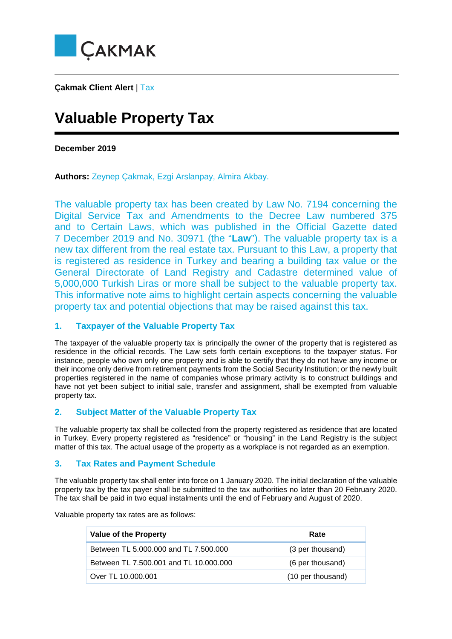

**Çakmak Client Alert** | Tax

# **Valuable Property Tax**

**December 2019**

**Authors:** Zeynep Çakmak, Ezgi Arslanpay, Almira Akbay.

The valuable property tax has been created by Law No. 7194 concerning the Digital Service Tax and Amendments to the Decree Law numbered 375 and to Certain Laws, which was published in the Official Gazette dated 7 December 2019 and No. 30971 (the "**Law**"). The valuable property tax is a new tax different from the real estate tax. Pursuant to this Law, a property that is registered as residence in Turkey and bearing a building tax value or the General Directorate of Land Registry and Cadastre determined value of 5,000,000 Turkish Liras or more shall be subject to the valuable property tax. This informative note aims to highlight certain aspects concerning the valuable property tax and potential objections that may be raised against this tax.

## **1. Taxpayer of the Valuable Property Tax**

The taxpayer of the valuable property tax is principally the owner of the property that is registered as residence in the official records. The Law sets forth certain exceptions to the taxpayer status. For instance, people who own only one property and is able to certify that they do not have any income or their income only derive from retirement payments from the Social Security Institution; or the newly built properties registered in the name of companies whose primary activity is to construct buildings and have not yet been subject to initial sale, transfer and assignment, shall be exempted from valuable property tax.

## **2. Subject Matter of the Valuable Property Tax**

The valuable property tax shall be collected from the property registered as residence that are located in Turkey. Every property registered as "residence" or "housing" in the Land Registry is the subject matter of this tax. The actual usage of the property as a workplace is not regarded as an exemption.

## **3. Tax Rates and Payment Schedule**

The valuable property tax shall enter into force on 1 January 2020. The initial declaration of the valuable property tax by the tax payer shall be submitted to the tax authorities no later than 20 February 2020. The tax shall be paid in two equal instalments until the end of February and August of 2020.

Valuable property tax rates are as follows:

| <b>Value of the Property</b>           | Rate              |
|----------------------------------------|-------------------|
| Between TL 5.000.000 and TL 7.500.000  | (3 per thousand)  |
| Between TL 7.500.001 and TL 10.000.000 | (6 per thousand)  |
| Over TL 10.000.001                     | (10 per thousand) |